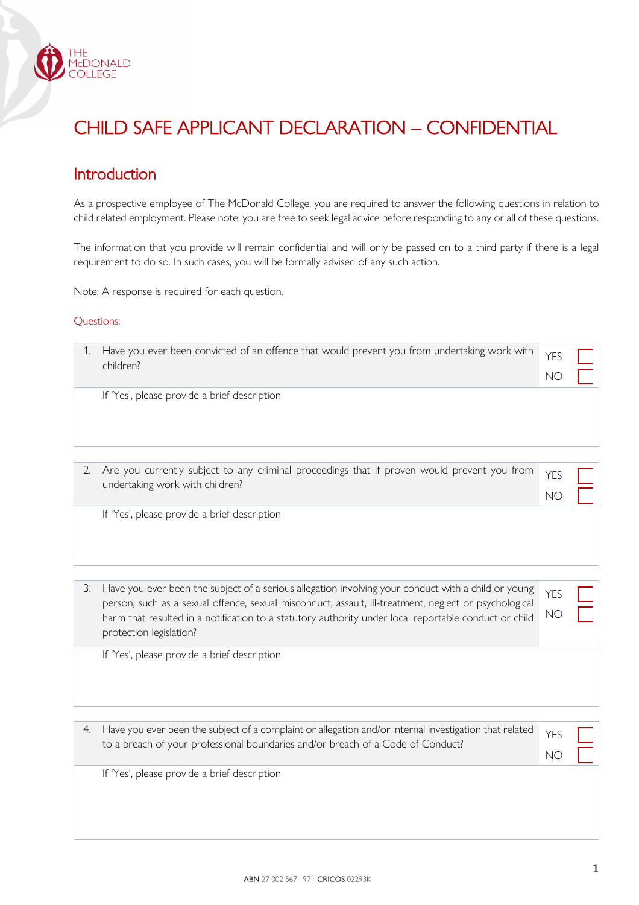

## CHILD SAFE APPLICANT DECLARATION – CONFIDENTIAL

## Introduction

As a prospective employee of The McDonald College, you are required to answer the following questions in relation to child related employment. Please note: you are free to seek legal advice before responding to any or all of these questions.

The information that you provide will remain confidential and will only be passed on to a third party if there is a legal requirement to do so. In such cases, you will be formally advised of any such action.

Note: A response is required for each question.

## Questions:

| Have you ever been convicted of an offence that would prevent you from undertaking work with<br>children?                      | YES<br>NC  |  |
|--------------------------------------------------------------------------------------------------------------------------------|------------|--|
| If 'Yes', please provide a brief description                                                                                   |            |  |
|                                                                                                                                |            |  |
| Are you currently subject to any criminal proceedings that if proven would prevent you from<br>undertaking work with children? | <b>YES</b> |  |

If 'Yes', please provide a brief description

| 3. Have you ever been the subject of a serious allegation involving your conduct with a child or young $\vert$ $_{\gamma F5}$ |                |
|-------------------------------------------------------------------------------------------------------------------------------|----------------|
| person, such as a sexual offence, sexual misconduct, assault, ill-treatment, neglect or psychological                         |                |
| harm that resulted in a notification to a statutory authority under local reportable conduct or child                         | $\overline{N}$ |
| protection legislation?                                                                                                       |                |

If 'Yes', please provide a brief description

4. Have you ever been the subject of a complaint or allegation and/or internal investigation that related to a breach of your professional boundaries and/or breach of a Code of Conduct?

YES NO

If 'Yes', please provide a brief description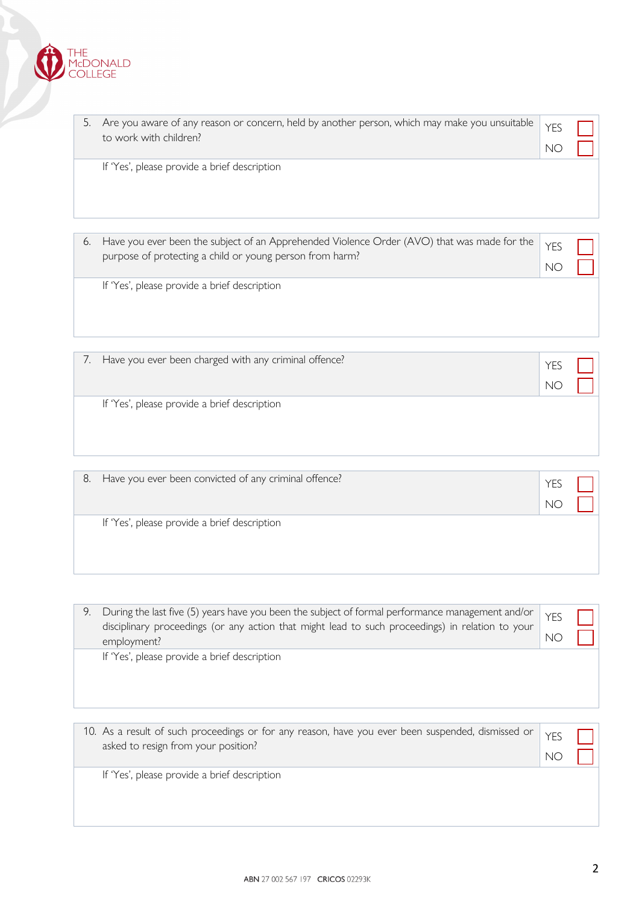

| 5. | Are you aware of any reason or concern, held by another person, which may make you unsuitable<br>to work with children?                                 | <b>YES</b><br>ΝO |  |
|----|---------------------------------------------------------------------------------------------------------------------------------------------------------|------------------|--|
|    | If 'Yes', please provide a brief description                                                                                                            |                  |  |
| 6. | Have you ever been the subject of an Apprehended Violence Order (AVO) that was made for the<br>purpose of protecting a child or young person from harm? | <b>YES</b><br>ΝO |  |
|    | If 'Yes', please provide a brief description                                                                                                            |                  |  |
| 7. | Have you ever been charged with any criminal offence?                                                                                                   | <b>YES</b><br>ΝO |  |
|    | If 'Yes', please provide a brief description                                                                                                            |                  |  |

| 8. | Have you ever been convicted of any criminal offence? |  |
|----|-------------------------------------------------------|--|
|    | If 'Yes', please provide a brief description          |  |

| During the last five (5) years have you been the subject of formal performance management and/or $\vert$ YES<br>disciplinary proceedings (or any action that might lead to such proceedings) in relation to your<br>employment? |  |
|---------------------------------------------------------------------------------------------------------------------------------------------------------------------------------------------------------------------------------|--|
| If 'Yes', please provide a brief description                                                                                                                                                                                    |  |

| 10. As a result of such proceedings or for any reason, have you ever been suspended, dismissed or   YES<br>asked to resign from your position? | NO 1 |  |
|------------------------------------------------------------------------------------------------------------------------------------------------|------|--|
| If 'Yes', please provide a brief description                                                                                                   |      |  |